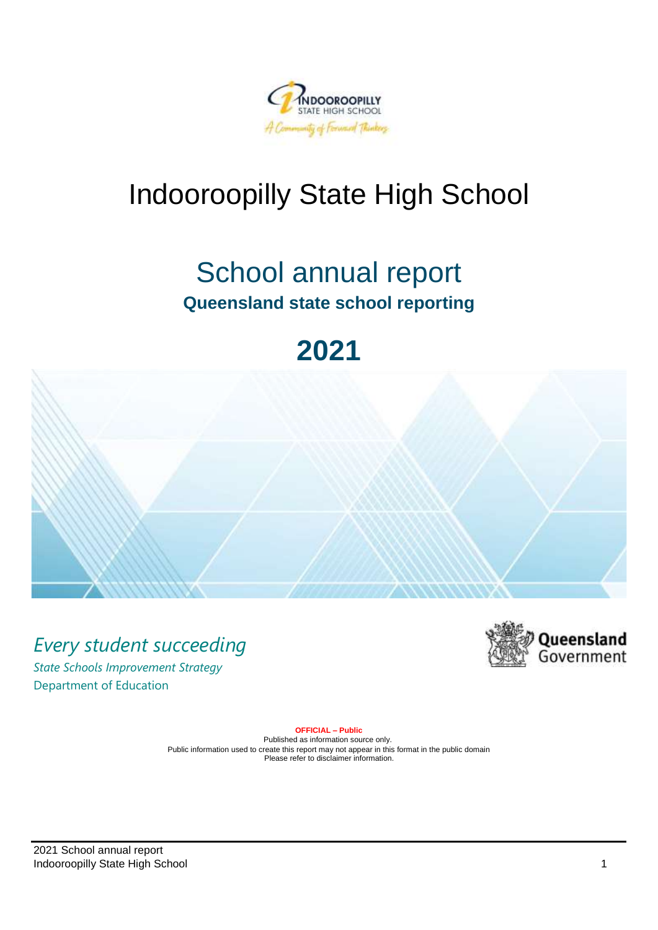

# Indooroopilly State High School

# School annual report **Queensland state school reporting**

# **2021**



*Every student succeeding*

*State Schools Improvement Strategy* Department of Education



**OFFICIAL – Public**

Published as information source only. Public information used to create this report may not appear in this format in the public domain Please refer to disclaimer information.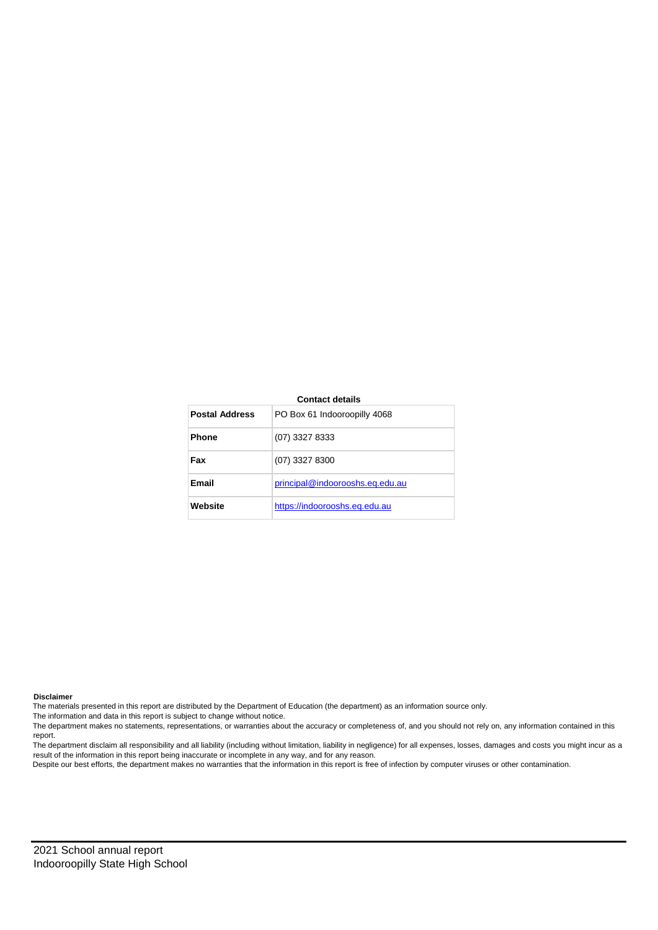#### **Contact details**

| <b>Postal Address</b> | PO Box 61 Indooroopilly 4068    |
|-----------------------|---------------------------------|
| <b>Phone</b>          | (07) 3327 8333                  |
| Fax                   | (07) 3327 8300                  |
| Email                 | principal@indoorooshs.eq.edu.au |
| Website               | https://indoorooshs.eq.edu.au   |

**Disclaimer**

The materials presented in this report are distributed by the Department of Education (the department) as an information source only.

The information and data in this report is subject to change without notice.

The department makes no statements, representations, or warranties about the accuracy or completeness of, and you should not rely on, any information contained in this report.

The department disclaim all responsibility and all liability (including without limitation, liability in negligence) for all expenses, losses, damages and costs you might incur as a result of the information in this report being inaccurate or incomplete in any way, and for any reason.

Despite our best efforts, the department makes no warranties that the information in this report is free of infection by computer viruses or other contamination.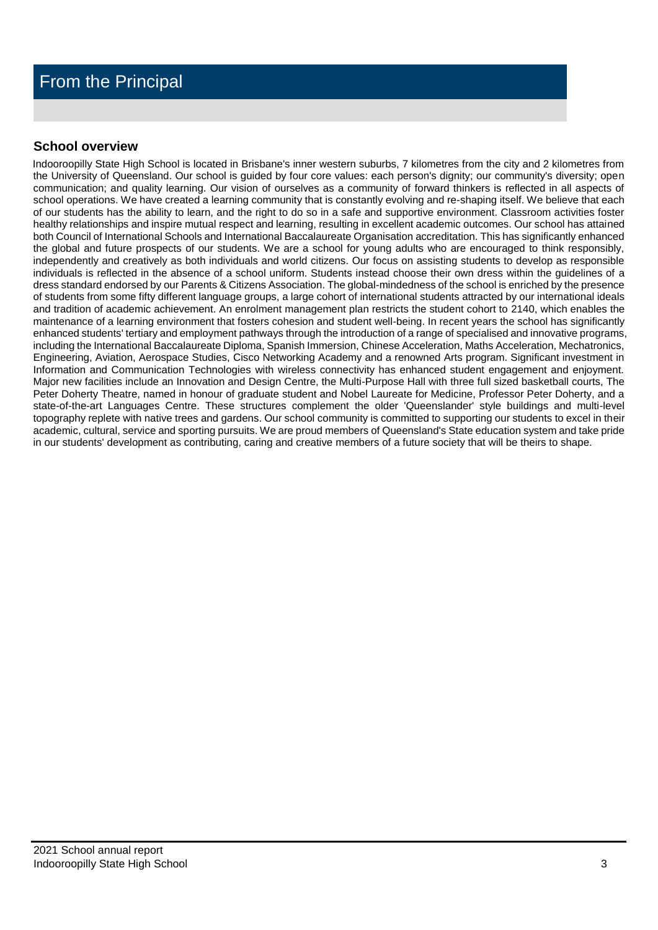## **School overview**

Indooroopilly State High School is located in Brisbane's inner western suburbs, 7 kilometres from the city and 2 kilometres from the University of Queensland. Our school is guided by four core values: each person's dignity; our community's diversity; open communication; and quality learning. Our vision of ourselves as a community of forward thinkers is reflected in all aspects of school operations. We have created a learning community that is constantly evolving and re-shaping itself. We believe that each of our students has the ability to learn, and the right to do so in a safe and supportive environment. Classroom activities foster healthy relationships and inspire mutual respect and learning, resulting in excellent academic outcomes. Our school has attained both Council of International Schools and International Baccalaureate Organisation accreditation. This has significantly enhanced the global and future prospects of our students. We are a school for young adults who are encouraged to think responsibly, independently and creatively as both individuals and world citizens. Our focus on assisting students to develop as responsible individuals is reflected in the absence of a school uniform. Students instead choose their own dress within the guidelines of a dress standard endorsed by our Parents & Citizens Association. The global-mindedness of the school is enriched by the presence of students from some fifty different language groups, a large cohort of international students attracted by our international ideals and tradition of academic achievement. An enrolment management plan restricts the student cohort to 2140, which enables the maintenance of a learning environment that fosters cohesion and student well-being. In recent years the school has significantly enhanced students' tertiary and employment pathways through the introduction of a range of specialised and innovative programs, including the International Baccalaureate Diploma, Spanish Immersion, Chinese Acceleration, Maths Acceleration, Mechatronics, Engineering, Aviation, Aerospace Studies, Cisco Networking Academy and a renowned Arts program. Significant investment in Information and Communication Technologies with wireless connectivity has enhanced student engagement and enjoyment. Major new facilities include an Innovation and Design Centre, the Multi-Purpose Hall with three full sized basketball courts, The Peter Doherty Theatre, named in honour of graduate student and Nobel Laureate for Medicine, Professor Peter Doherty, and a state-of-the-art Languages Centre. These structures complement the older 'Queenslander' style buildings and multi-level topography replete with native trees and gardens. Our school community is committed to supporting our students to excel in their academic, cultural, service and sporting pursuits. We are proud members of Queensland's State education system and take pride in our students' development as contributing, caring and creative members of a future society that will be theirs to shape.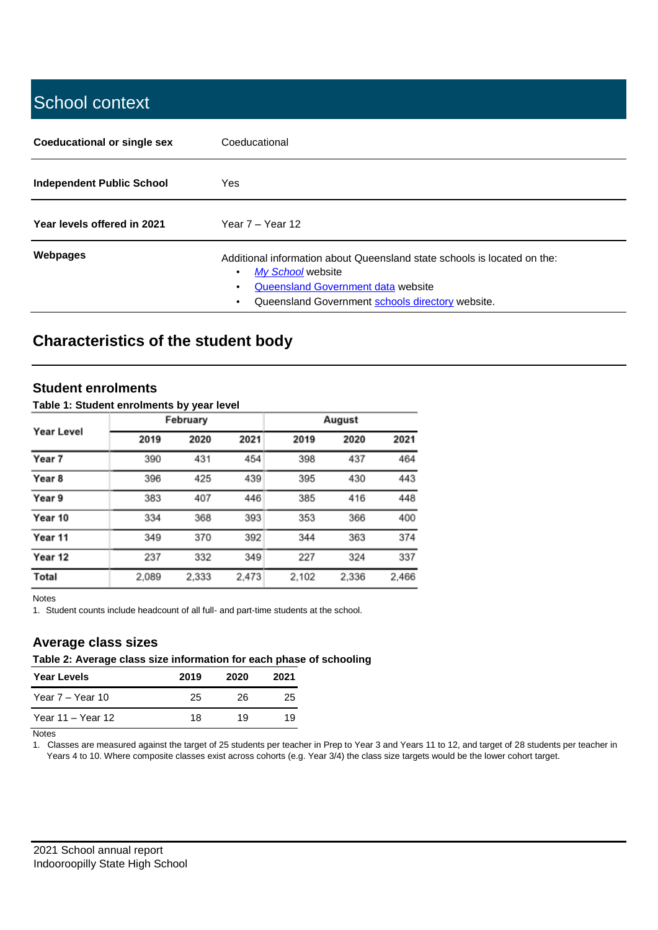# School context

| Coeducational or single sex      | Coeducational                                                                                                                                                                                |
|----------------------------------|----------------------------------------------------------------------------------------------------------------------------------------------------------------------------------------------|
| <b>Independent Public School</b> | Yes                                                                                                                                                                                          |
| Year levels offered in 2021      | Year $7 -$ Year 12                                                                                                                                                                           |
| Webpages                         | Additional information about Queensland state schools is located on the:<br>My School website<br>Queensland Government data website<br>٠<br>Queensland Government schools directory website. |

# **Characteristics of the student body**

#### **Student enrolments**

#### **Table 1: Student enrolments by year level**

|            |       | February |       |       | August |       |
|------------|-------|----------|-------|-------|--------|-------|
| Year Level | 2019  | 2020     | 2021  | 2019  | 2020   | 2021  |
| Year 7     | 390   | 431      | 454   | 398   | 437    | 464   |
| Year 8     | 396   | 425      | 439   | 395   | 430    | 443   |
| Year 9     | 383   | 407      | 446   | 385   | 416    | 448   |
| Year 10    | 334   | 368      | 393   | 353   | 366    | 400   |
| Year 11    | 349   | 370      | 392   | 344   | 363    | 374   |
| Year 12    | 237   | 332      | 349   | 227   | 324    | 337   |
| Total      | 2,089 | 2,333    | 2,473 | 2,102 | 2,336  | 2,466 |

Notes

1. Student counts include headcount of all full- and part-time students at the school.

## **Average class sizes**

#### **Table 2: Average class size information for each phase of schooling**

| <b>Year Levels</b> | 2019 | 2020 | 2021 |
|--------------------|------|------|------|
| Year 7 – Year 10   | 25   | 26   | 25   |
| Year 11 – Year 12  | 18   | 19   | 19   |

**Notes** 

1. Classes are measured against the target of 25 students per teacher in Prep to Year 3 and Years 11 to 12, and target of 28 students per teacher in Years 4 to 10. Where composite classes exist across cohorts (e.g. Year 3/4) the class size targets would be the lower cohort target.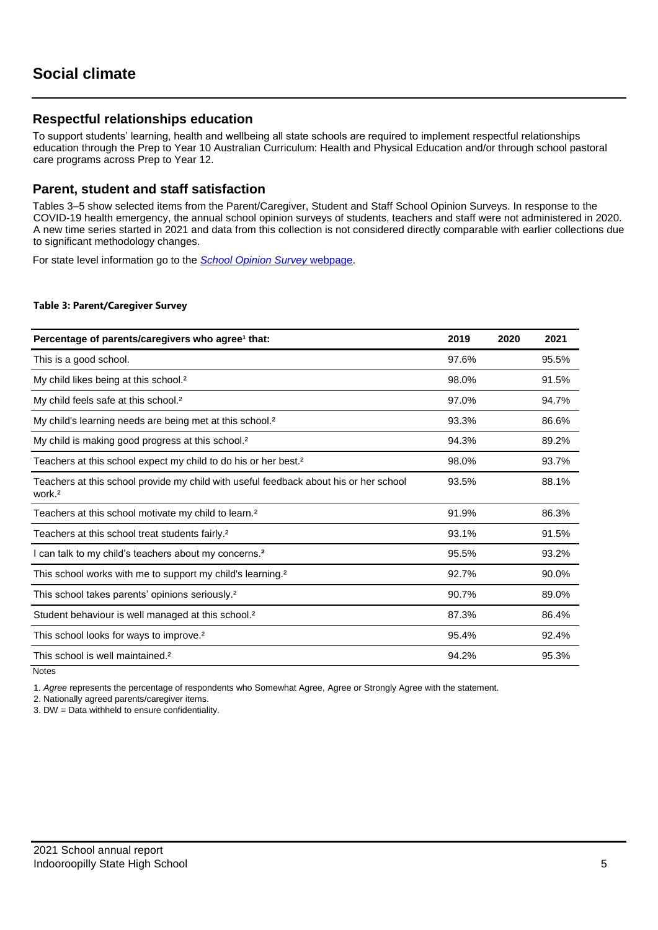### **Respectful relationships education**

To support students' learning, health and wellbeing all state schools are required to implement respectful relationships education through the Prep to Year 10 Australian Curriculum: Health and Physical Education and/or through school pastoral care programs across Prep to Year 12.

### **Parent, student and staff satisfaction**

Tables 3–5 show selected items from the Parent/Caregiver, Student and Staff School Opinion Surveys. In response to the COVID-19 health emergency, the annual school opinion surveys of students, teachers and staff were not administered in 2020. A new time series started in 2021 and data from this collection is not considered directly comparable with earlier collections due to significant methodology changes.

For state level information go to the *[School Opinion Survey](https://qed.qld.gov.au/publications/reports/statistics/schooling/schools/schoolopinionsurvey)* [webpage.](https://qed.qld.gov.au/publications/reports/statistics/schooling/schools/schoolopinionsurvey)

#### **Table 3: Parent/Caregiver Survey**

| Percentage of parents/caregivers who agree <sup>1</sup> that:                                               | 2019  | 2020 | 2021  |
|-------------------------------------------------------------------------------------------------------------|-------|------|-------|
| This is a good school.                                                                                      | 97.6% |      | 95.5% |
| My child likes being at this school. <sup>2</sup>                                                           | 98.0% |      | 91.5% |
| My child feels safe at this school. <sup>2</sup>                                                            | 97.0% |      | 94.7% |
| My child's learning needs are being met at this school. <sup>2</sup>                                        | 93.3% |      | 86.6% |
| My child is making good progress at this school. <sup>2</sup>                                               | 94.3% |      | 89.2% |
| Teachers at this school expect my child to do his or her best. <sup>2</sup>                                 | 98.0% |      | 93.7% |
| Teachers at this school provide my child with useful feedback about his or her school<br>work. <sup>2</sup> | 93.5% |      | 88.1% |
| Teachers at this school motivate my child to learn. <sup>2</sup>                                            | 91.9% |      | 86.3% |
| Teachers at this school treat students fairly. <sup>2</sup>                                                 | 93.1% |      | 91.5% |
| I can talk to my child's teachers about my concerns. <sup>2</sup>                                           | 95.5% |      | 93.2% |
| This school works with me to support my child's learning. <sup>2</sup>                                      | 92.7% |      | 90.0% |
| This school takes parents' opinions seriously. <sup>2</sup>                                                 | 90.7% |      | 89.0% |
| Student behaviour is well managed at this school. <sup>2</sup>                                              | 87.3% |      | 86.4% |
| This school looks for ways to improve. <sup>2</sup>                                                         | 95.4% |      | 92.4% |
| This school is well maintained. <sup>2</sup>                                                                | 94.2% |      | 95.3% |

**Notes** 

1. *Agree* represents the percentage of respondents who Somewhat Agree, Agree or Strongly Agree with the statement.

2. Nationally agreed parents/caregiver items.

3. DW = Data withheld to ensure confidentiality.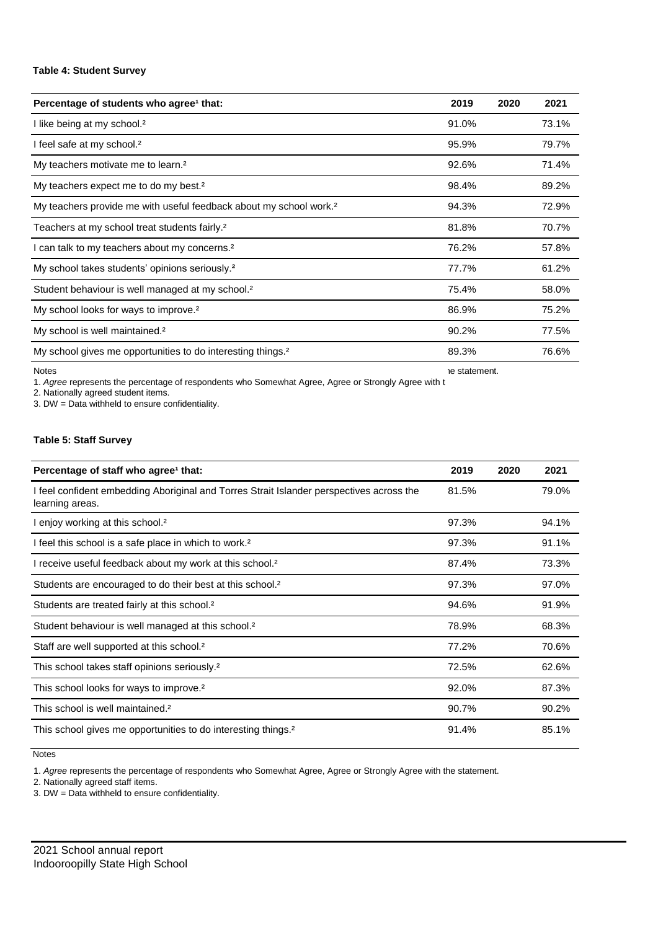#### **Table 4: Student Survey**

| Percentage of students who agree <sup>1</sup> that:                            | 2019  | 2020 | 2021  |
|--------------------------------------------------------------------------------|-------|------|-------|
| I like being at my school. <sup>2</sup>                                        | 91.0% |      | 73.1% |
| I feel safe at my school. <sup>2</sup>                                         | 95.9% |      | 79.7% |
| My teachers motivate me to learn. <sup>2</sup>                                 | 92.6% |      | 71.4% |
| My teachers expect me to do my best. <sup>2</sup>                              | 98.4% |      | 89.2% |
| My teachers provide me with useful feedback about my school work. <sup>2</sup> | 94.3% |      | 72.9% |
| Teachers at my school treat students fairly. <sup>2</sup>                      | 81.8% |      | 70.7% |
| I can talk to my teachers about my concerns. <sup>2</sup>                      | 76.2% |      | 57.8% |
| My school takes students' opinions seriously. <sup>2</sup>                     | 77.7% |      | 61.2% |
| Student behaviour is well managed at my school. <sup>2</sup>                   | 75.4% |      | 58.0% |
| My school looks for ways to improve. <sup>2</sup>                              | 86.9% |      | 75.2% |
| My school is well maintained. <sup>2</sup>                                     | 90.2% |      | 77.5% |
| My school gives me opportunities to do interesting things. <sup>2</sup>        | 89.3% |      | 76.6% |

Notes

1. *Agree* represents the percentage of respondents who Somewhat Agree, Agree or Strongly Agree with t he statement.

2. Nationally agreed student items.

3. DW = Data withheld to ensure confidentiality.

#### **Table 5: Staff Survey**

| Percentage of staff who agree <sup>1</sup> that:                                                            | 2019  | 2020 | 2021  |
|-------------------------------------------------------------------------------------------------------------|-------|------|-------|
| I feel confident embedding Aboriginal and Torres Strait Islander perspectives across the<br>learning areas. | 81.5% |      | 79.0% |
| I enjoy working at this school. <sup>2</sup>                                                                | 97.3% |      | 94.1% |
| I feel this school is a safe place in which to work. <sup>2</sup>                                           | 97.3% |      | 91.1% |
| I receive useful feedback about my work at this school. <sup>2</sup>                                        | 87.4% |      | 73.3% |
| Students are encouraged to do their best at this school. <sup>2</sup>                                       | 97.3% |      | 97.0% |
| Students are treated fairly at this school. <sup>2</sup>                                                    | 94.6% |      | 91.9% |
| Student behaviour is well managed at this school. <sup>2</sup>                                              | 78.9% |      | 68.3% |
| Staff are well supported at this school. <sup>2</sup>                                                       | 77.2% |      | 70.6% |
| This school takes staff opinions seriously. <sup>2</sup>                                                    | 72.5% |      | 62.6% |
| This school looks for ways to improve. <sup>2</sup>                                                         | 92.0% |      | 87.3% |
| This school is well maintained. <sup>2</sup>                                                                | 90.7% |      | 90.2% |
| This school gives me opportunities to do interesting things. <sup>2</sup>                                   | 91.4% |      | 85.1% |

**Notes** 

1. *Agree* represents the percentage of respondents who Somewhat Agree, Agree or Strongly Agree with the statement.

2. Nationally agreed staff items.

3. DW = Data withheld to ensure confidentiality.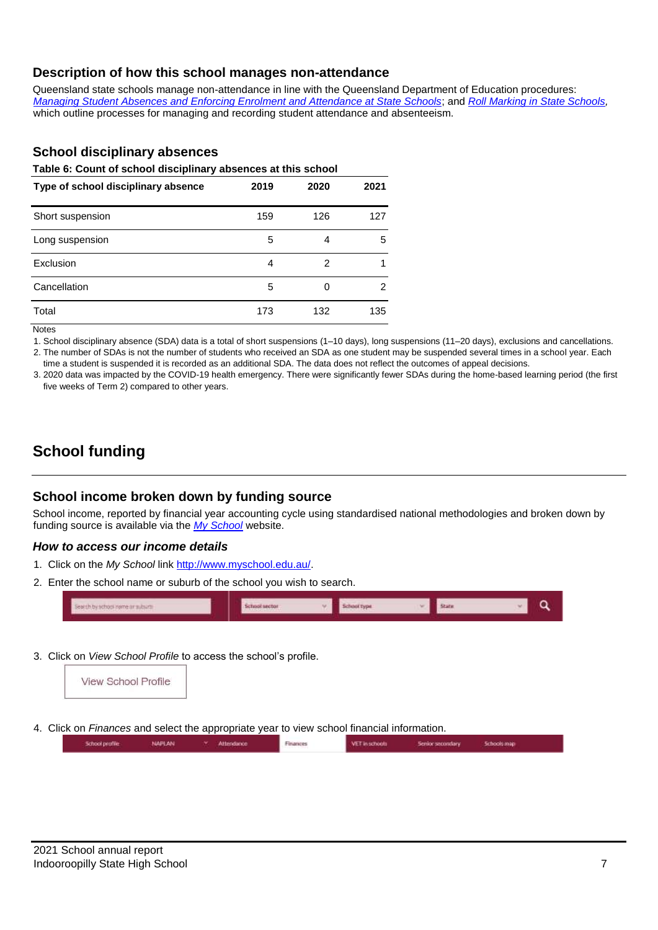## **Description of how this school manages non-attendance**

Queensland state schools manage non-attendance in line with the Queensland Department of Education procedures: *[Managing Student Absences and Enforcing Enrolment and Attendance at State Schools](https://ppr.qed.qld.gov.au/pp/managing-student-absences-and-enforcing-enrolment-and-attendance-at-state-schools-procedure)*; and *[Roll Marking in State Schools,](https://ppr.qed.qld.gov.au/pp/roll-marking-in-state-schools-procedure)* which outline processes for managing and recording student attendance and absenteeism.

## **School disciplinary absences**

**Table 6: Count of school disciplinary absences at this school**

| Type of school disciplinary absence | 2019 | 2020 | 2021 |
|-------------------------------------|------|------|------|
| Short suspension                    | 159  | 126  | 127  |
| Long suspension                     | 5    | 4    | 5    |
| Exclusion                           | 4    | 2    |      |
| Cancellation                        | 5    | 0    | 2    |
| Total                               | 173  | 132  | 135  |

Notes

1. School disciplinary absence (SDA) data is a total of short suspensions (1–10 days), long suspensions (11–20 days), exclusions and cancellations. 2. The number of SDAs is not the number of students who received an SDA as one student may be suspended several times in a school year. Each time a student is suspended it is recorded as an additional SDA. The data does not reflect the outcomes of appeal decisions.

3. 2020 data was impacted by the COVID-19 health emergency. There were significantly fewer SDAs during the home-based learning period (the first

five weeks of Term 2) compared to other years.

# **School funding**

## **School income broken down by funding source**

School income, reported by financial year accounting cycle using standardised national methodologies and broken down by funding source is available via the *[My School](http://www.myschool.edu.au/)* website.

#### *How to access our income details*

- 1. Click on the *My School* lin[k http://www.myschool.edu.au/.](http://www.myschool.edu.au/)
- 2. Enter the school name or suburb of the school you wish to search.



3. Click on *View School Profile* to access the school's profile.



4. Click on *Finances* and select the appropriate year to view school financial information.

| <b><i>PUT OF THE COLORED</i></b> | <b><i>ARTISTER CONTRACTORY</i></b> | <b>AT F In collected</b> | Senior secondary<br><b>Contract Contract Contract Property Contract Property</b> | Schools map |  |
|----------------------------------|------------------------------------|--------------------------|----------------------------------------------------------------------------------|-------------|--|
|                                  |                                    |                          |                                                                                  |             |  |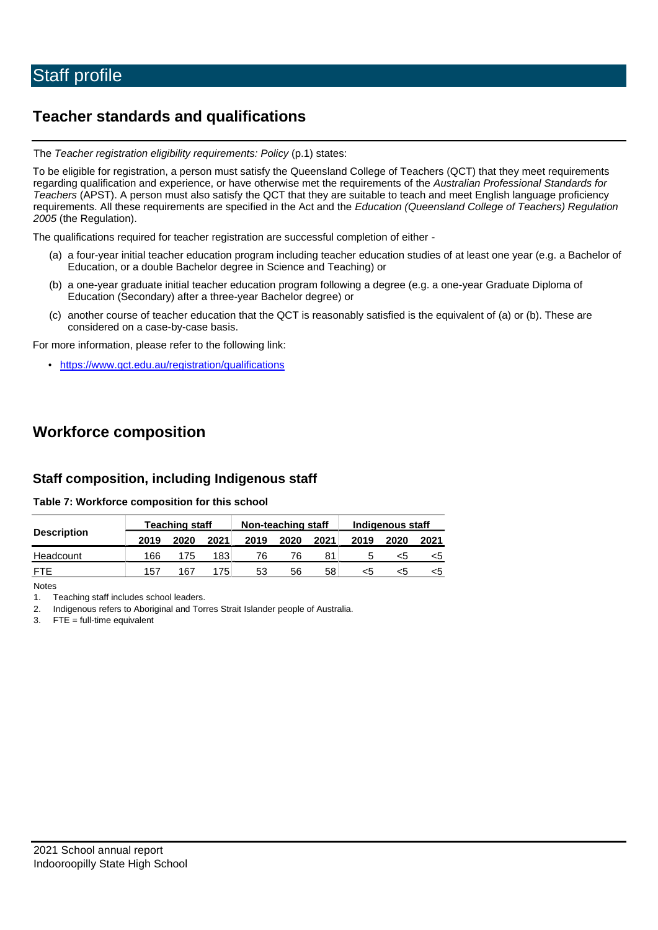# **Teacher standards and qualifications**

The *Teacher registration eligibility requirements: Policy* (p.1) states:

To be eligible for registration, a person must satisfy the Queensland College of Teachers (QCT) that they meet requirements regarding qualification and experience, or have otherwise met the requirements of the *Australian Professional Standards for Teachers* (APST). A person must also satisfy the QCT that they are suitable to teach and meet English language proficiency requirements. All these requirements are specified in the Act and the *Education (Queensland College of Teachers) Regulation 2005* (the Regulation).

The qualifications required for teacher registration are successful completion of either -

- (a) a four-year initial teacher education program including teacher education studies of at least one year (e.g. a Bachelor of Education, or a double Bachelor degree in Science and Teaching) or
- (b) a one-year graduate initial teacher education program following a degree (e.g. a one-year Graduate Diploma of Education (Secondary) after a three-year Bachelor degree) or
- (c) another course of teacher education that the QCT is reasonably satisfied is the equivalent of (a) or (b). These are considered on a case-by-case basis.

For more information, please refer to the following link:

• <https://www.qct.edu.au/registration/qualifications>

# **Workforce composition**

## **Staff composition, including Indigenous staff**

#### **Table 7: Workforce composition for this school**

|                    |      | <b>Teaching staff</b><br>Non-teaching staff<br>Indigenous staff |      |      |      |      |      |      |      |
|--------------------|------|-----------------------------------------------------------------|------|------|------|------|------|------|------|
| <b>Description</b> | 2019 | 2020                                                            | 2021 | 2019 | 2020 | 2021 | 2019 | 2020 | 2021 |
| Headcount          | 166  | 175                                                             | 183  | 76   | 76   | 81   |      |      |      |
| <b>ETE</b>         | 157  | 167                                                             | 175. | 53   | 56   | 58   | <5   |      |      |

Notes

1. Teaching staff includes school leaders.

2. Indigenous refers to Aboriginal and Torres Strait Islander people of Australia.

3. FTE = full-time equivalent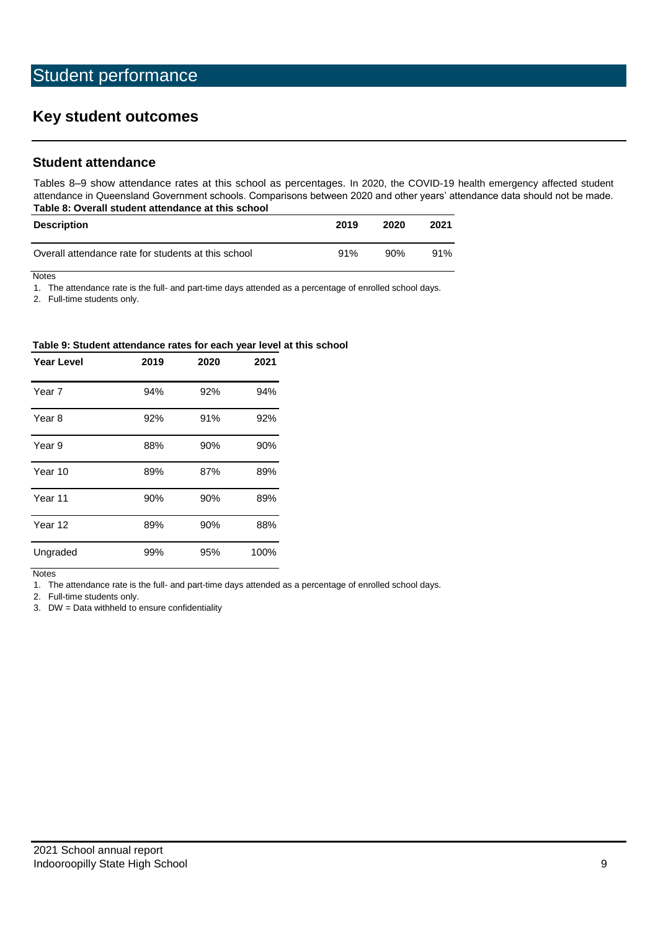# **Key student outcomes**

### **Student attendance**

Tables 8–9 show attendance rates at this school as percentages. In 2020, the COVID-19 health emergency affected student attendance in Queensland Government schools. Comparisons between 2020 and other years' attendance data should not be made. **Table 8: Overall student attendance at this school**

| <b>Description</b>                                  | 2019 | 2020 | 2021 |
|-----------------------------------------------------|------|------|------|
| Overall attendance rate for students at this school | 91%  | 90%  | 91%  |

**Notes** 

1. The attendance rate is the full- and part-time days attended as a percentage of enrolled school days.

2. Full-time students only.

#### **Table 9: Student attendance rates for each year level at this school**

| <b>Year Level</b> | 2019 | 2020 | 2021 |
|-------------------|------|------|------|
| Year 7            | 94%  | 92%  | 94%  |
| Year 8            | 92%  | 91%  | 92%  |
| Year 9            | 88%  | 90%  | 90%  |
| Year 10           | 89%  | 87%  | 89%  |
| Year 11           | 90%  | 90%  | 89%  |
| Year 12           | 89%  | 90%  | 88%  |
| Ungraded          | 99%  | 95%  | 100% |

**Notes** 

1. The attendance rate is the full- and part-time days attended as a percentage of enrolled school days.

2. Full-time students only.

3. DW = Data withheld to ensure confidentiality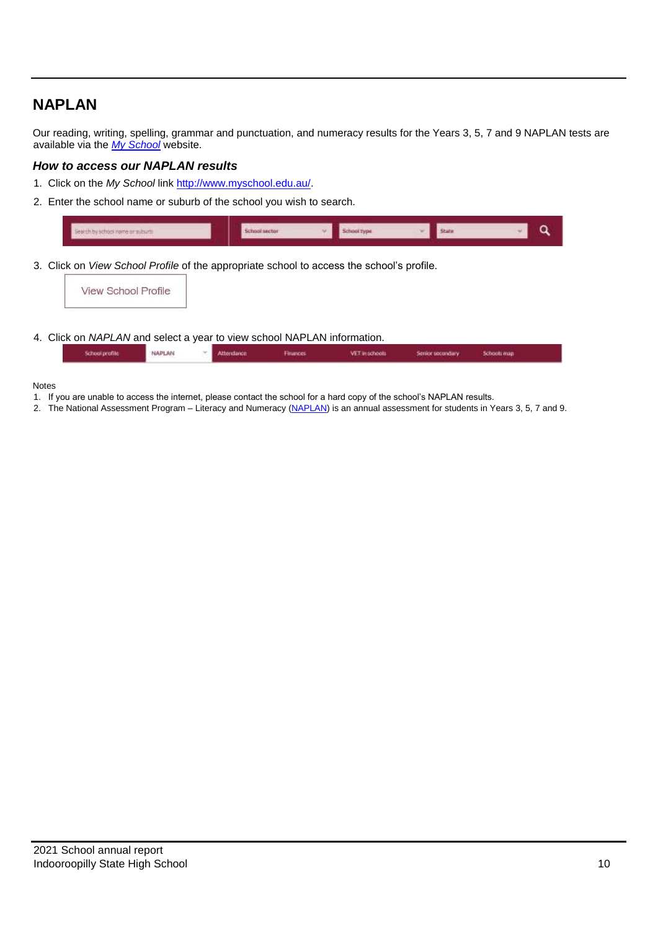# **NAPLAN**

Our reading, writing, spelling, grammar and punctuation, and numeracy results for the Years 3, 5, 7 and 9 NAPLAN tests are available via the *[My School](http://www.myschool.edu.au/)* website.

#### *How to access our NAPLAN results*

- 1. Click on the *My School* lin[k http://www.myschool.edu.au/.](http://www.myschool.edu.au/)
- 2. Enter the school name or suburb of the school you wish to search.

| <b>ALLIA DA BODOGA MALLE DI BINDIANES</b> |  |  |  |
|-------------------------------------------|--|--|--|
|                                           |  |  |  |

3. Click on *View School Profile* of the appropriate school to access the school's profile.



4. Click on *NAPLAN* and select a year to view school NAPLAN information.

|  | School profile | <b>NAPLAN</b> |  | Attendance | mances. | VET in schools. | Senior secondary<br>the property of the property of the con- | Schools map |  |
|--|----------------|---------------|--|------------|---------|-----------------|--------------------------------------------------------------|-------------|--|
|--|----------------|---------------|--|------------|---------|-----------------|--------------------------------------------------------------|-------------|--|

#### Notes

- 1. If you are unable to access the internet, please contact the school for a hard copy of the school's NAPLAN results.
- 2. The National Assessment Program Literacy and Numeracy [\(NAPLAN\)](http://www.nap.edu.au/naplan) is an annual assessment for students in Years 3, 5, 7 and 9.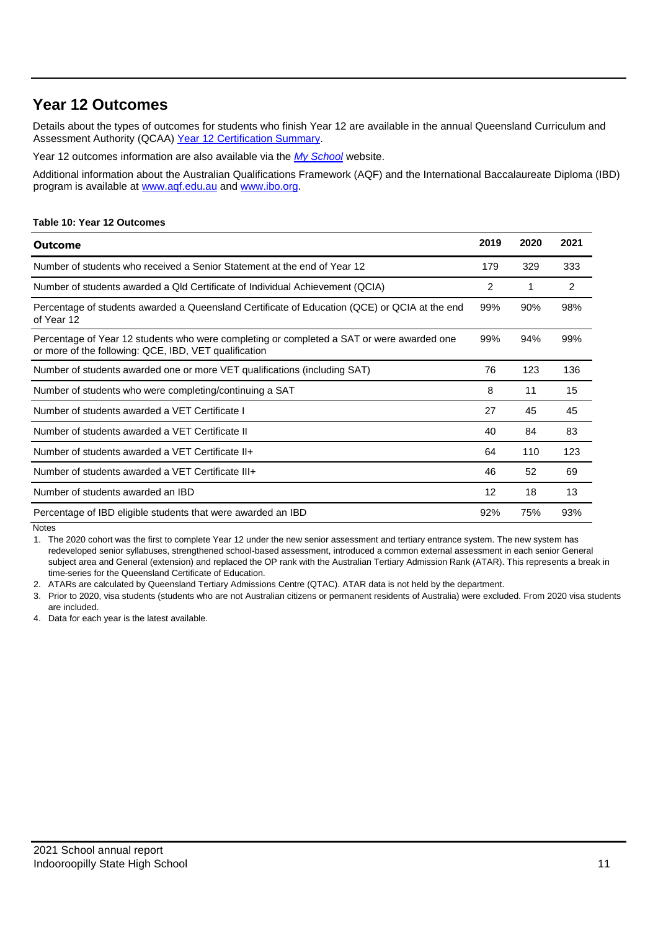# **Year 12 Outcomes**

Details about the types of outcomes for students who finish Year 12 are available in the annual Queensland Curriculum and Assessment Authority (QCAA) [Year 12 Certification Summary.](https://www.qcaa.qld.edu.au/about/publications/statistics)

Year 12 outcomes information are also available via the *[My School](http://www.myschool.edu.au/)* website.

Additional information about the Australian Qualifications Framework (AQF) and the International Baccalaureate Diploma (IBD) program is available at [www.aqf.edu.au](https://www.aqf.edu.au/) an[d www.ibo.org.](https://www.ibo.org/)

#### **Table 10: Year 12 Outcomes**

| <b>Outcome</b>                                                                                                                                     | 2019              | 2020 | 2021 |
|----------------------------------------------------------------------------------------------------------------------------------------------------|-------------------|------|------|
| Number of students who received a Senior Statement at the end of Year 12                                                                           | 179               | 329  | 333  |
| Number of students awarded a Qld Certificate of Individual Achievement (QCIA)                                                                      | 2                 | 1    | 2    |
| Percentage of students awarded a Queensland Certificate of Education (QCE) or QCIA at the end<br>of Year 12                                        | 99%               | 90%  | 98%  |
| Percentage of Year 12 students who were completing or completed a SAT or were awarded one<br>or more of the following: QCE, IBD, VET qualification | 99%               | 94%  | 99%  |
| Number of students awarded one or more VET qualifications (including SAT)                                                                          | 76                | 123  | 136  |
| Number of students who were completing/continuing a SAT                                                                                            | 8                 | 11   | 15   |
| Number of students awarded a VET Certificate I                                                                                                     | 27                | 45   | 45   |
| Number of students awarded a VET Certificate II                                                                                                    | 40                | 84   | 83   |
| Number of students awarded a VET Certificate II+                                                                                                   | 64                | 110  | 123  |
| Number of students awarded a VET Certificate III+                                                                                                  | 46                | 52   | 69   |
| Number of students awarded an IBD                                                                                                                  | $12 \overline{ }$ | 18   | 13   |
| Percentage of IBD eligible students that were awarded an IBD                                                                                       | 92%               | 75%  | 93%  |

**Notes** 

1. The 2020 cohort was the first to complete Year 12 under the new senior assessment and tertiary entrance system. The new system has redeveloped senior syllabuses, strengthened school-based assessment, introduced a common external assessment in each senior General subject area and General (extension) and replaced the OP rank with the Australian Tertiary Admission Rank (ATAR). This represents a break in time-series for the Queensland Certificate of Education.

2. ATARs are calculated by Queensland Tertiary Admissions Centre (QTAC). ATAR data is not held by the department.

3. Prior to 2020, visa students (students who are not Australian citizens or permanent residents of Australia) were excluded. From 2020 visa students are included.

4. Data for each year is the latest available.